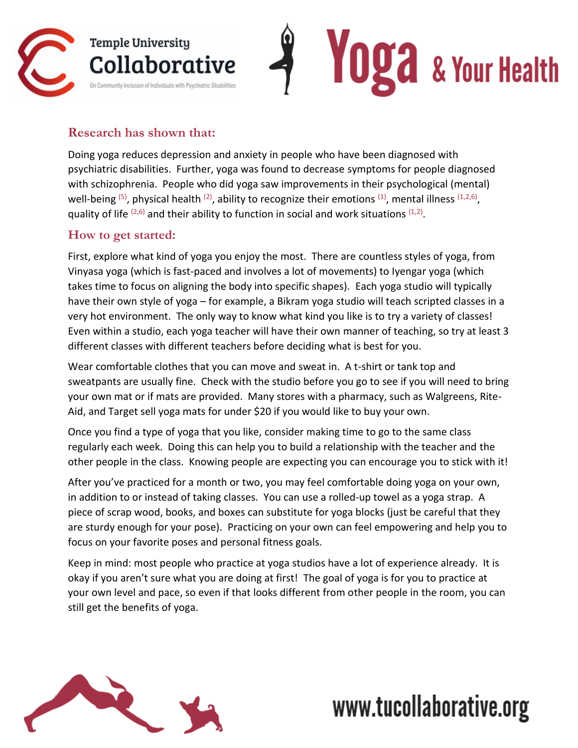

## **Research has shown that:**

Doing yoga reduces depression and anxiety in people who have been diagnosed with psychiatric disabilities. Further, yoga was found to decrease symptoms for people diagnosed with schizophrenia. People who did yoga saw improvements in their psychological (mental) well-being <sup>(5)</sup>, physical health <sup>(2)</sup>, ability to recognize their emotions <sup>(1)</sup>, mental illness <sup>(1,2,6)</sup>, quality of life  $(2,6)$  and their ability to function in social and work situations  $(1,2)$ .

## **How to get started:**

First, explore what kind of yoga you enjoy the most. There are countless styles of yoga, from Vinyasa yoga (which is fast-paced and involves a lot of movements) to Iyengar yoga (which takes time to focus on aligning the body into specific shapes). Each yoga studio will typically have their own style of yoga – for example, a Bikram yoga studio will teach scripted classes in a very hot environment. The only way to know what kind you like is to try a variety of classes! Even within a studio, each yoga teacher will have their own manner of teaching, so try at least 3 different classes with different teachers before deciding what is best for you.

Wear comfortable clothes that you can move and sweat in. A t-shirt or tank top and sweatpants are usually fine. Check with the studio before you go to see if you will need to bring your own mat or if mats are provided. Many stores with a pharmacy, such as Walgreens, Rite-Aid, and Target sell yoga mats for under \$20 if you would like to buy your own.

Once you find a type of yoga that you like, consider making time to go to the same class regularly each week. Doing this can help you to build a relationship with the teacher and the other people in the class. Knowing people are expecting you can encourage you to stick with it!

After you've practiced for a month or two, you may feel comfortable doing yoga on your own, in addition to or instead of taking classes. You can use a rolled-up towel as a yoga strap. A piece of scrap wood, books, and boxes can substitute for yoga blocks (just be careful that they are sturdy enough for your pose). Practicing on your own can feel empowering and help you to focus on your favorite poses and personal fitness goals.

Keep in mind: most people who practice at yoga studios have a lot of experience already. It is okay if you aren't sure what you are doing at first! The goal of yoga is for you to practice at your own level and pace, so even if that looks different from other people in the room, you can still get the benefits of yoga.



## www.tucollaborative.org